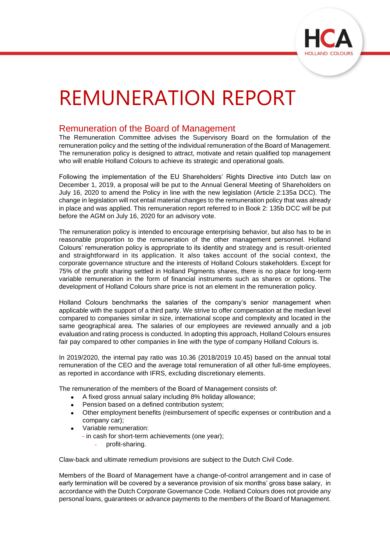

# REMUNERATION REPORT

## Remuneration of the Board of Management

The Remuneration Committee advises the Supervisory Board on the formulation of the remuneration policy and the setting of the individual remuneration of the Board of Management. The remuneration policy is designed to attract, motivate and retain qualified top management who will enable Holland Colours to achieve its strategic and operational goals.

Following the implementation of the EU Shareholders' Rights Directive into Dutch law on December 1, 2019, a proposal will be put to the Annual General Meeting of Shareholders on July 16, 2020 to amend the Policy in line with the new legislation (Article 2:135a DCC). The change in legislation will not entail material changes to the remuneration policy that was already in place and was applied. This remuneration report referred to in Book 2: 135b DCC will be put before the AGM on July 16, 2020 for an advisory vote.

The remuneration policy is intended to encourage enterprising behavior, but also has to be in reasonable proportion to the remuneration of the other management personnel. Holland Colours' remuneration policy is appropriate to its identity and strategy and is result-oriented and straightforward in its application. It also takes account of the social context, the corporate governance structure and the interests of Holland Colours stakeholders. Except for 75% of the profit sharing settled in Holland Pigments shares, there is no place for long-term variable remuneration in the form of financial instruments such as shares or options. The development of Holland Colours share price is not an element in the remuneration policy.

Holland Colours benchmarks the salaries of the company's senior management when applicable with the support of a third party. We strive to offer compensation at the median level compared to companies similar in size, international scope and complexity and located in the same geographical area. The salaries of our employees are reviewed annually and a job evaluation and rating process is conducted. In adopting this approach, Holland Colours ensures fair pay compared to other companies in line with the type of company Holland Colours is.

In 2019/2020, the internal pay ratio was 10.36 (2018/2019 10.45) based on the annual total remuneration of the CEO and the average total remuneration of all other full-time employees, as reported in accordance with IFRS, excluding discretionary elements.

The remuneration of the members of the Board of Management consists of:

- A fixed gross annual salary including 8% holiday allowance;
- Pension based on a defined contribution system:
- Other employment benefits (reimbursement of specific expenses or contribution and a company car);
- Variable remuneration:
	- in cash for short-term achievements (one year);
		- profit-sharing.

Claw-back and ultimate remedium provisions are subject to the Dutch Civil Code.

Members of the Board of Management have a change-of-control arrangement and in case of early termination will be covered by a severance provision of six months' gross base salary, in accordance with the Dutch Corporate Governance Code. Holland Colours does not provide any personal loans, guarantees or advance payments to the members of the Board of Management.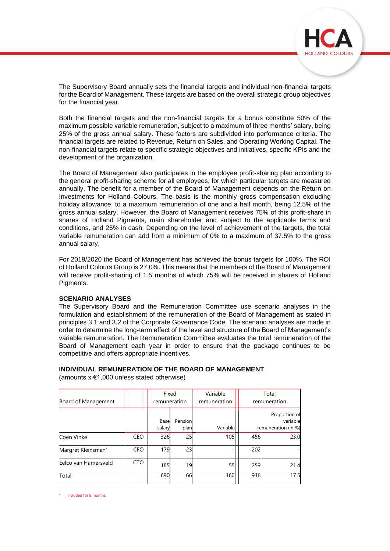

The Supervisory Board annually sets the financial targets and individual non-financial targets for the Board of Management. These targets are based on the overall strategic group objectives for the financial year.

Both the financial targets and the non-financial targets for a bonus constitute 50% of the maximum possible variable remuneration, subject to a maximum of three months' salary, being 25% of the gross annual salary. These factors are subdivided into performance criteria. The financial targets are related to Revenue, Return on Sales, and Operating Working Capital. The non-financial targets relate to specific strategic objectives and initiatives, specific KPIs and the development of the organization.

The Board of Management also participates in the employee profit-sharing plan according to the general profit-sharing scheme for all employees, for which particular targets are measured annually. The benefit for a member of the Board of Management depends on the Return on Investments for Holland Colours. The basis is the monthly gross compensation excluding holiday allowance, to a maximum remuneration of one and a half month, being 12.5% of the gross annual salary. However, the Board of Management receives 75% of this profit-share in shares of Holland Pigments, main shareholder and subject to the applicable terms and conditions, and 25% in cash. Depending on the level of achievement of the targets, the total variable remuneration can add from a minimum of 0% to a maximum of 37.5% to the gross annual salary.

For 2019/2020 the Board of Management has achieved the bonus targets for 100%. The ROI of Holland Colours Group is 27.0%. This means that the members of the Board of Management will receive profit-sharing of 1.5 months of which 75% will be received in shares of Holland Pigments.

#### **SCENARIO ANALYSES**

The Supervisory Board and the Remuneration Committee use scenario analyses in the formulation and establishment of the remuneration of the Board of Management as stated in principles 3.1 and 3.2 of the Corporate Governance Code. The scenario analyses are made in order to determine the long-term effect of the level and structure of the Board of Management's variable remuneration. The Remuneration Committee evaluates the total remuneration of the Board of Management each year in order to ensure that the package continues to be competitive and offers appropriate incentives.

#### **INDIVIDUAL REMUNERATION OF THE BOARD OF MANAGEMENT**

(amounts  $x \in 1,000$  unless stated otherwise)

| Board of Management  |            | Fixed<br>remuneration |                 | Variable<br>remuneration | Total<br>remuneration |                                                  |  |  |  |
|----------------------|------------|-----------------------|-----------------|--------------------------|-----------------------|--------------------------------------------------|--|--|--|
|                      |            | Base<br>salary        | Pension<br>plan | Variable                 |                       | Proportion of<br>variable<br>remuneration (in %) |  |  |  |
| Coen Vinke           | <b>CEO</b> | 326                   | 25              | <b>105</b>               | 456                   | 23.0                                             |  |  |  |
| Margret Kleinsman*   | <b>CFO</b> | 179                   | 23              |                          | 202                   |                                                  |  |  |  |
| Eelco van Hamersveld | CTO        | 185                   | 19              | 55                       | 259                   | 21.4                                             |  |  |  |
| Total                |            | 690                   | 66              | 160                      | 916                   | 17.5                                             |  |  |  |

Included for 9 months.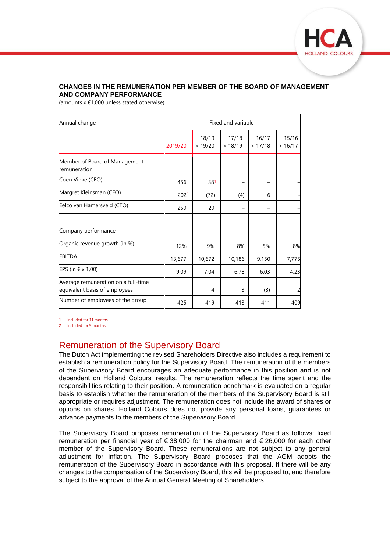

### **CHANGES IN THE REMUNERATION PER MEMBER OF THE BOARD OF MANAGEMENT AND COMPANY PERFORMANCE**

(amounts  $x \notin 1,000$  unless stated otherwise)

| Annual change                                                        | Fixed and variable |  |                  |  |                 |  |                 |                 |
|----------------------------------------------------------------------|--------------------|--|------------------|--|-----------------|--|-----------------|-----------------|
|                                                                      | 2019/20            |  | 18/19<br>> 19/20 |  | 17/18<br>>18/19 |  | 16/17<br>>17/18 | 15/16<br>>16/17 |
| Member of Board of Management<br>remuneration                        |                    |  |                  |  |                 |  |                 |                 |
| Coen Vinke (CEO)                                                     | 456                |  | 381              |  |                 |  |                 |                 |
| Margret Kleinsman (CFO)                                              | 2022               |  | (72)             |  | (4)             |  | 6               |                 |
| Eelco van Hamersveld (CTO)                                           | 259                |  | 29               |  |                 |  |                 |                 |
| Company performance                                                  |                    |  |                  |  |                 |  |                 |                 |
| Organic revenue growth (in %)                                        | 12%                |  | 9%               |  | 8%              |  | 5%              | 8%              |
| <b>EBITDA</b>                                                        | 13,677             |  | 10,672           |  | 10,186          |  | 9,150           | 7,775           |
| EPS (in € x 1,00)                                                    | 9.09               |  | 7.04             |  | 6.78            |  | 6.03            | 4.23            |
| Average remuneration on a full-time<br>equivalent basis of employees |                    |  | 4                |  | 3               |  | (3)             |                 |
| Number of employees of the group                                     | 425                |  | 419              |  | 413             |  | 411             | 409             |

1 Included for 11 months.

2 Included for 9 months.

## Remuneration of the Supervisory Board

The Dutch Act implementing the revised Shareholders Directive also includes a requirement to establish a remuneration policy for the Supervisory Board. The remuneration of the members of the Supervisory Board encourages an adequate performance in this position and is not dependent on Holland Colours' results. The remuneration reflects the time spent and the responsibilities relating to their position. A remuneration benchmark is evaluated on a regular basis to establish whether the remuneration of the members of the Supervisory Board is still appropriate or requires adjustment. The remuneration does not include the award of shares or options on shares. Holland Colours does not provide any personal loans, guarantees or advance payments to the members of the Supervisory Board.

The Supervisory Board proposes remuneration of the Supervisory Board as follows: fixed remuneration per financial year of  $\epsilon$  38,000 for the chairman and  $\epsilon$  26,000 for each other member of the Supervisory Board. These remunerations are not subject to any general adjustment for inflation. The Supervisory Board proposes that the AGM adopts the remuneration of the Supervisory Board in accordance with this proposal. If there will be any changes to the compensation of the Supervisory Board, this will be proposed to, and therefore subject to the approval of the Annual General Meeting of Shareholders.